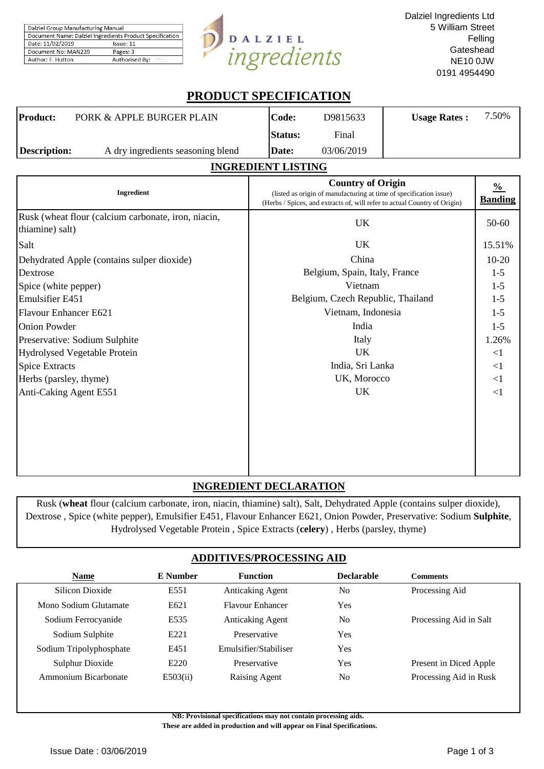| Dalziel Group Manufacturing Manual                       |                |  |  |  |
|----------------------------------------------------------|----------------|--|--|--|
| Document Name: Dalziel Ingredients Product Specification |                |  |  |  |
| Date: 11/02/2019                                         | Issue: 11      |  |  |  |
| Document No: MAN239                                      | Pages: 3       |  |  |  |
| Author: F. Hutton                                        | Authorised By: |  |  |  |



# **PRODUCT SPECIFICATION**

| Product:            | PORK & APPLE BURGER PLAIN         | Code:          | D9815633   | <b>Usage Rates:</b> | 7.50% |
|---------------------|-----------------------------------|----------------|------------|---------------------|-------|
|                     |                                   | <b>Status:</b> | Final      |                     |       |
| <b>Description:</b> | A dry ingredients seasoning blend | Date:          | 03/06/2019 |                     |       |

#### **INGREDIENT LISTING**

| Ingredient                                                             | <b>Country of Origin</b><br>(listed as origin of manufacturing at time of specification issue)<br>(Herbs / Spices, and extracts of, will refer to actual Country of Origin) | $\frac{0}{0}$<br><b>Banding</b> |
|------------------------------------------------------------------------|-----------------------------------------------------------------------------------------------------------------------------------------------------------------------------|---------------------------------|
| Rusk (wheat flour (calcium carbonate, iron, niacin,<br>thiamine) salt) | UK                                                                                                                                                                          | 50-60                           |
| Salt                                                                   | UK                                                                                                                                                                          | 15.51%                          |
| Dehydrated Apple (contains sulper dioxide)                             | China                                                                                                                                                                       | $10-20$                         |
| Dextrose                                                               | Belgium, Spain, Italy, France                                                                                                                                               | $1 - 5$                         |
| Spice (white pepper)                                                   | Vietnam                                                                                                                                                                     | $1 - 5$                         |
| Emulsifier E451                                                        | Belgium, Czech Republic, Thailand                                                                                                                                           | $1 - 5$                         |
| Flavour Enhancer E621                                                  | Vietnam, Indonesia                                                                                                                                                          | $1-5$                           |
| <b>Onion Powder</b>                                                    | India                                                                                                                                                                       | $1 - 5$                         |
| Preservative: Sodium Sulphite                                          | Italy                                                                                                                                                                       | 1.26%                           |
| Hydrolysed Vegetable Protein                                           | <b>UK</b>                                                                                                                                                                   | $\leq$ 1                        |
| <b>Spice Extracts</b>                                                  | India, Sri Lanka                                                                                                                                                            | $<$ 1                           |
| Herbs (parsley, thyme)                                                 | UK, Morocco                                                                                                                                                                 | $\leq$ 1                        |
| Anti-Caking Agent E551                                                 | <b>UK</b>                                                                                                                                                                   | $<$ 1                           |
|                                                                        |                                                                                                                                                                             |                                 |
|                                                                        |                                                                                                                                                                             |                                 |
|                                                                        |                                                                                                                                                                             |                                 |
|                                                                        |                                                                                                                                                                             |                                 |

# **INGREDIENT DECLARATION**

Rusk (**wheat** flour (calcium carbonate, iron, niacin, thiamine) salt), Salt, Dehydrated Apple (contains sulper dioxide), Dextrose , Spice (white pepper), Emulsifier E451, Flavour Enhancer E621, Onion Powder, Preservative: Sodium **Sulphite**, Hydrolysed Vegetable Protein , Spice Extracts (**celery**) , Herbs (parsley, thyme)

# **ADDITIVES/PROCESSING AID**

| Name                    | <b>E</b> Number  | <b>Function</b>         | <b>Declarable</b> | <b>Comments</b>        |
|-------------------------|------------------|-------------------------|-------------------|------------------------|
| Silicon Dioxide         | E551             | <b>Anticaking Agent</b> | No                | Processing Aid         |
| Mono Sodium Glutamate   | E621             | <b>Flavour Enhancer</b> | Yes               |                        |
| Sodium Ferrocyanide     | E535             | <b>Anticaking Agent</b> | No                | Processing Aid in Salt |
| Sodium Sulphite         | E221             | Preservative            | Yes               |                        |
| Sodium Tripolyphosphate | E451             | Emulsifier/Stabiliser   | Yes               |                        |
| Sulphur Dioxide         | E <sub>220</sub> | Preservative            | Yes               | Present in Diced Apple |
| Ammonium Bicarbonate    | E503(ii)         | Raising Agent           | No                | Processing Aid in Rusk |

**NB: Provisional specifications may not contain processing aids.** 

 **These are added in production and will appear on Final Specifications.**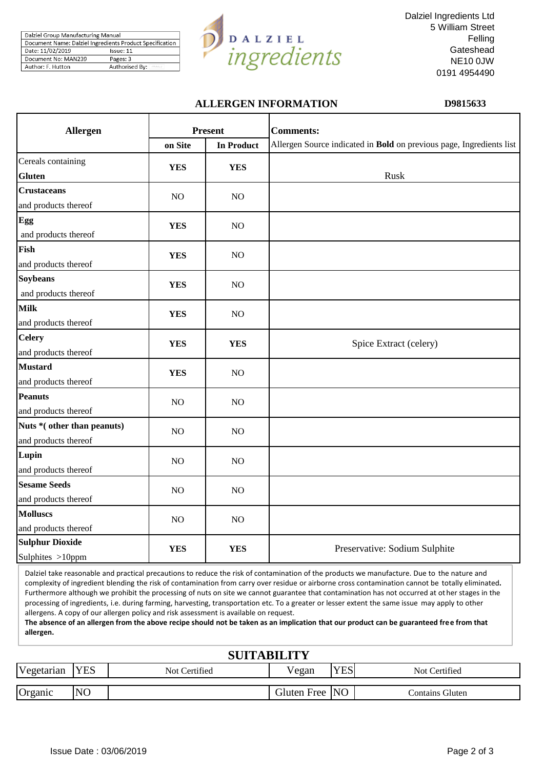| Dalziel Group Manufacturing Manual |                                                          |
|------------------------------------|----------------------------------------------------------|
|                                    | Document Name: Dalziel Ingredients Product Specification |
| Date: 11/02/2019                   | Issue: 11                                                |
| Document No: MAN239                | Pages: 3                                                 |
| Author: F. Hutton                  | Authorised By:                                           |



Dalziel Ingredients Ltd 5 William Street Felling **Gateshead** NE10 0JW 0191 4954490

#### **ALLERGEN INFORMATION D9815633**

| <b>Allergen</b>                                     |                | <b>Present</b>    | <b>Comments:</b>                                                     |
|-----------------------------------------------------|----------------|-------------------|----------------------------------------------------------------------|
|                                                     | on Site        | <b>In Product</b> | Allergen Source indicated in Bold on previous page, Ingredients list |
| Cereals containing<br><b>Gluten</b>                 | <b>YES</b>     | <b>YES</b>        | Rusk                                                                 |
| <b>Crustaceans</b><br>and products thereof          | NO             | NO                |                                                                      |
| Egg<br>and products thereof                         | <b>YES</b>     | NO                |                                                                      |
| Fish<br>and products thereof                        | <b>YES</b>     | N <sub>O</sub>    |                                                                      |
| <b>Soybeans</b><br>and products thereof             | <b>YES</b>     | NO                |                                                                      |
| <b>Milk</b><br>and products thereof                 | <b>YES</b>     | NO                |                                                                      |
| <b>Celery</b><br>and products thereof               | <b>YES</b>     | <b>YES</b>        | Spice Extract (celery)                                               |
| <b>Mustard</b><br>and products thereof              | <b>YES</b>     | NO                |                                                                      |
| <b>Peanuts</b><br>and products thereof              | N <sub>O</sub> | NO                |                                                                      |
| Nuts * (other than peanuts)<br>and products thereof | NO             | NO                |                                                                      |
| Lupin<br>and products thereof                       | NO             | NO                |                                                                      |
| <b>Sesame Seeds</b><br>and products thereof         | NO             | N <sub>O</sub>    |                                                                      |
| <b>Molluscs</b><br>and products thereof             | NO             | NO                |                                                                      |
| <b>Sulphur Dioxide</b><br>Sulphites >10ppm          | <b>YES</b>     | <b>YES</b>        | Preservative: Sodium Sulphite                                        |

Dalziel take reasonable and practical precautions to reduce the risk of contamination of the products we manufacture. Due to the nature and complexity of ingredient blending the risk of contamination from carry over residue or airborne cross contamination cannot be totally eliminated**.**  Furthermore although we prohibit the processing of nuts on site we cannot guarantee that contamination has not occurred at ot her stages in the processing of ingredients, i.e. during farming, harvesting, transportation etc. To a greater or lesser extent the same issue may apply to other allergens. A copy of our allergen policy and risk assessment is available on request.

**The absence of an allergen from the above recipe should not be taken as an implication that our product can be guaranteed free from that allergen.**

| <b>SUITABILITY</b> |                |               |                |            |                 |  |  |
|--------------------|----------------|---------------|----------------|------------|-----------------|--|--|
| Vegetarian         | <b>YES</b>     | Not Certified | Vegan          | <b>YES</b> | Not Certified   |  |  |
| Organic            | N <sub>O</sub> |               | Gluten Free NO |            | Contains Gluten |  |  |